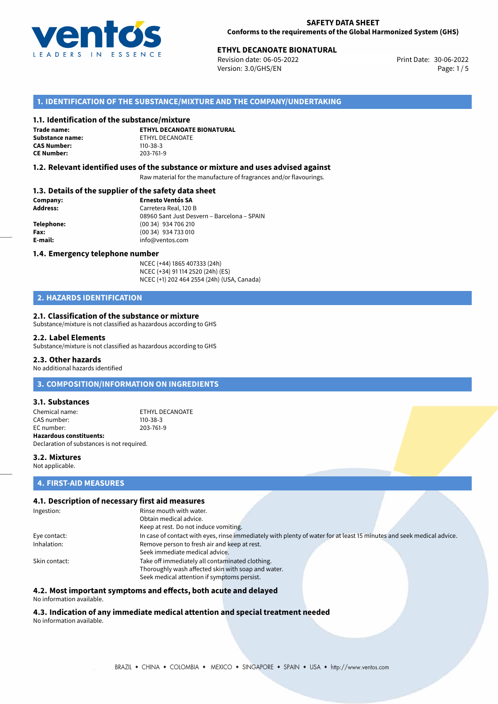

# **ETHYL DECANOATE BIONATURAL**<br>30-06-2022 **Print Date: 30-06-2022**

Revision date: 06-05-2022 Version: 3.0/GHS/EN Page: 1/5

## **1. IDENTIFICATION OF THE SUBSTANCE/MIXTURE AND THE COMPANY/UNDERTAKING**

#### **1.1. Identification of the substance/mixture**

**Trade name: CAS Number: CE Number:** 203-761-9

**ETHYL DECANOATE BIONATURAL Substance name:** ETHYL DECANOATE<br> **CAS Number:** 110-38-3

### **1.2. Relevant identified uses of the substance or mixture and uses advised against**

Raw material for the manufacture of fragrances and/or flavourings.

## **1.3. Details of the supplier of the safety data sheet**

| Company:   | <b>Ernesto Ventós SA</b>                    |  |
|------------|---------------------------------------------|--|
| Address:   | Carretera Real, 120 B                       |  |
|            | 08960 Sant Just Desvern - Barcelona - SPAIN |  |
| Telephone: | (00 34) 934 706 210                         |  |
| Fax:       | (00 34) 934 733 010                         |  |
| E-mail:    | info@ventos.com                             |  |
|            |                                             |  |

#### **1.4. Emergency telephone number**

NCEC (+44) 1865 407333 (24h) NCEC (+34) 91 114 2520 (24h) (ES) NCEC (+1) 202 464 2554 (24h) (USA, Canada)

# **2. HAZARDS IDENTIFICATION**

#### **2.1. Classification of the substance or mixture**

Substance/mixture is not classified as hazardous according to GHS

#### **2.2. Label Elements**

Substance/mixture is not classified as hazardous according to GHS

## **2.3. Other hazards**

No additional hazards identified

## **3. COMPOSITION/INFORMATION ON INGREDIENTS**

#### **3.1. Substances**

Chemical name: ETHYL DECANOATE CAS number: 110-38-3<br>
FC number: 203-761-9  $FC number$ **Hazardous constituents:** Declaration of substances is not required.

**3.2. Mixtures** Not applicable.

#### **4. FIRST-AID MEASURES**

#### **4.1. Description of necessary first aid measures**

| Ingestion:    | Rinse mouth with water.                                                                                               |
|---------------|-----------------------------------------------------------------------------------------------------------------------|
|               | Obtain medical advice.                                                                                                |
|               | Keep at rest. Do not induce vomiting.                                                                                 |
| Eye contact:  | In case of contact with eyes, rinse immediately with plenty of water for at least 15 minutes and seek medical advice. |
| Inhalation:   | Remove person to fresh air and keep at rest.                                                                          |
|               | Seek immediate medical advice.                                                                                        |
| Skin contact: | Take off immediately all contaminated clothing.                                                                       |
|               | Thoroughly wash affected skin with soap and water.                                                                    |
|               | Seek medical attention if symptoms persist.                                                                           |

# **4.2. Most important symptoms and effects, both acute and delayed**

No information available.

#### **4.3. Indication of any immediate medical attention and special treatment needed** No information available.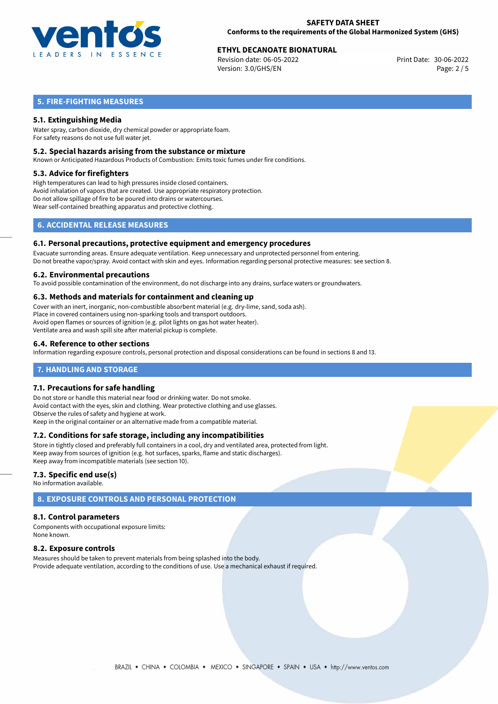

# **ETHYL DECANOATE BIONATURAL**<br>
Revision date: 06-05-2022<br> **Print Date: 30-06-2022**

Revision date: 06-05-2022 Version: 3.0/GHS/EN Page: 2 / 5

# **5. FIRE-FIGHTING MEASURES**

## **5.1. Extinguishing Media**

Water spray, carbon dioxide, dry chemical powder or appropriate foam. For safety reasons do not use full water jet.

#### **5.2. Special hazards arising from the substance or mixture**

Known or Anticipated Hazardous Products of Combustion: Emits toxic fumes under fire conditions.

#### **5.3. Advice for firefighters**

High temperatures can lead to high pressures inside closed containers. Avoid inhalation of vapors that are created. Use appropriate respiratory protection. Do not allow spillage of fire to be poured into drains or watercourses. Wear self-contained breathing apparatus and protective clothing.

# **6. ACCIDENTAL RELEASE MEASURES**

#### **6.1. Personal precautions, protective equipment and emergency procedures**

Evacuate surronding areas. Ensure adequate ventilation. Keep unnecessary and unprotected personnel from entering. Do not breathe vapor/spray. Avoid contact with skin and eyes. Information regarding personal protective measures: see section 8.

#### **6.2. Environmental precautions**

To avoid possible contamination of the environment, do not discharge into any drains, surface waters or groundwaters.

#### **6.3. Methods and materials for containment and cleaning up**

Cover with an inert, inorganic, non-combustible absorbent material (e.g. dry-lime, sand, soda ash). Place in covered containers using non-sparking tools and transport outdoors. Avoid open flames or sources of ignition (e.g. pilot lights on gas hot water heater). Ventilate area and wash spill site after material pickup is complete.

## **6.4. Reference to other sections**

Information regarding exposure controls, personal protection and disposal considerations can be found in sections 8 and 13.

## **7. HANDLING AND STORAGE**

## **7.1. Precautions for safe handling**

Do not store or handle this material near food or drinking water. Do not smoke. Avoid contact with the eyes, skin and clothing. Wear protective clothing and use glasses. Observe the rules of safety and hygiene at work. Keep in the original container or an alternative made from a compatible material.

## **7.2. Conditions for safe storage, including any incompatibilities**

Store in tightly closed and preferably full containers in a cool, dry and ventilated area, protected from light. Keep away from sources of ignition (e.g. hot surfaces, sparks, flame and static discharges). Keep away from incompatible materials (see section 10).

## **7.3. Specific end use(s)**

No information available.

# **8. EXPOSURE CONTROLS AND PERSONAL PROTECTION**

## **8.1. Control parameters**

Components with occupational exposure limits: None known.

## **8.2. Exposure controls**

Measures should be taken to prevent materials from being splashed into the body. Provide adequate ventilation, according to the conditions of use. Use a mechanical exhaust if required.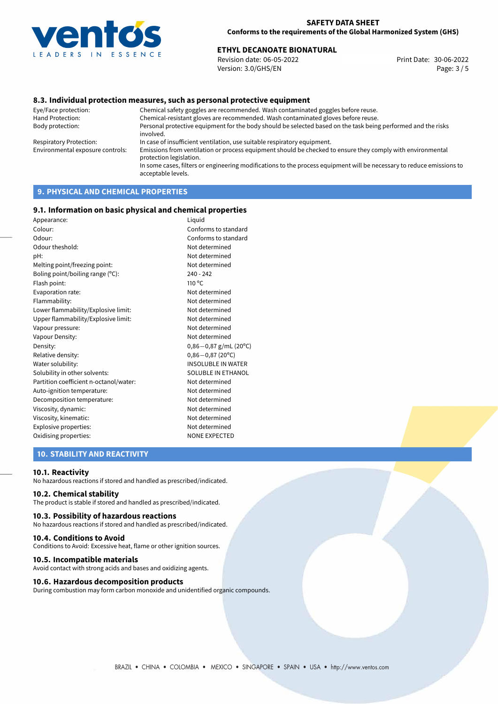

# **ETHYL DECANOATE BIONATURAL**<br>30-06-2022 **Print Date:** 30-06-2022 **Print Date:** 30-06-2022

Revision date: 06-05-2022 Version: 3.0/GHS/EN Page: 3 / 5

## **8.3. Individual protection measures, such as personal protective equipment**

Eye/Face protection: Chemical safety goggles are recommended. Wash contaminated goggles before reuse. Chemical-resistant gloves are recommended. Wash contaminated gloves before reuse. Body protection: Personal protective equipment for the body should be selected based on the task being performed and the risks involved. Respiratory Protection: In case of insufficient ventilation, use suitable respiratory equipment. Environmental exposure controls: Emissions from ventilation or process equipment should be checked to ensure they comply with environmental protection legislation. In some cases, filters or engineering modifications to the process equipment will be necessary to reduce emissions to acceptable levels.

# **9. PHYSICAL AND CHEMICAL PROPERTIES**

#### **9.1. Information on basic physical and chemical properties**

| Appearance:                            | Liguid                    |
|----------------------------------------|---------------------------|
| Colour:                                | Conforms to standard      |
| Odour:                                 | Conforms to standard      |
| Odour theshold:                        | Not determined            |
| pH:                                    | Not determined            |
| Melting point/freezing point:          | Not determined            |
| Boling point/boiling range (°C):       | $240 - 242$               |
| Flash point:                           | $110^{\circ}$ C           |
| Evaporation rate:                      | Not determined            |
| Flammability:                          | Not determined            |
| Lower flammability/Explosive limit:    | Not determined            |
| Upper flammability/Explosive limit:    | Not determined            |
| Vapour pressure:                       | Not determined            |
| Vapour Density:                        | Not determined            |
| Density:                               | $0,86-0,87$ g/mL (20°C)   |
| Relative density:                      | $0,86 - 0,87$ (20°C)      |
| Water solubility:                      | <b>INSOLUBLE IN WATER</b> |
| Solubility in other solvents:          | SOLUBLE IN ETHANOL        |
| Partition coefficient n-octanol/water: | Not determined            |
| Auto-ignition temperature:             | Not determined            |
| Decomposition temperature:             | Not determined            |
| Viscosity, dynamic:                    | Not determined            |
| Viscosity, kinematic:                  | Not determined            |
| Explosive properties:                  | Not determined            |
| Oxidising properties:                  | <b>NONE EXPECTED</b>      |
|                                        |                           |

## **10. STABILITY AND REACTIVITY**

#### **10.1. Reactivity**

No hazardous reactions if stored and handled as prescribed/indicated.

### **10.2. Chemical stability**

The product is stable if stored and handled as prescribed/indicated.

#### **10.3. Possibility of hazardous reactions**

No hazardous reactions if stored and handled as prescribed/indicated.

#### **10.4. Conditions to Avoid**

Conditions to Avoid: Excessive heat, flame or other ignition sources.

#### **10.5. Incompatible materials**

Avoid contact with strong acids and bases and oxidizing agents.

#### **10.6. Hazardous decomposition products**

During combustion may form carbon monoxide and unidentified organic compounds.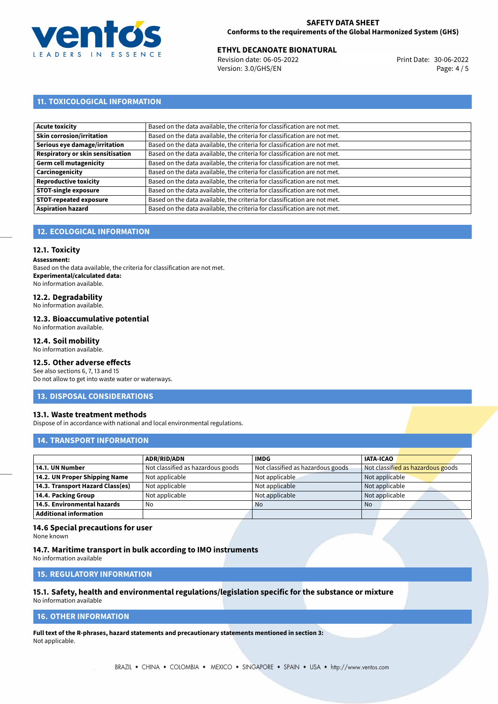

## **SAFETY DATA SHEET Conforms to the requirements of the Global Harmonized System (GHS)**

# **ETHYL DECANOATE BIONATURAL**<br>30-06-2022 **Print Date:** 30-06-2022 **Print Date:** 30-06-2022

Revision date: 06-05-2022 Version: 3.0/GHS/EN Page: 4 / 5

# **11. TOXICOLOGICAL INFORMATION**

| <b>Acute toxicity</b>             | Based on the data available, the criteria for classification are not met. |
|-----------------------------------|---------------------------------------------------------------------------|
| <b>Skin corrosion/irritation</b>  | Based on the data available, the criteria for classification are not met. |
| Serious eye damage/irritation     | Based on the data available, the criteria for classification are not met. |
| Respiratory or skin sensitisation | Based on the data available, the criteria for classification are not met. |
| Germ cell mutagenicity            | Based on the data available, the criteria for classification are not met. |
| Carcinogenicity                   | Based on the data available, the criteria for classification are not met. |
| <b>Reproductive toxicity</b>      | Based on the data available, the criteria for classification are not met. |
| <b>STOT-single exposure</b>       | Based on the data available, the criteria for classification are not met. |
| <b>STOT-repeated exposure</b>     | Based on the data available, the criteria for classification are not met. |
| <b>Aspiration hazard</b>          | Based on the data available, the criteria for classification are not met. |

# **12. ECOLOGICAL INFORMATION**

## **12.1. Toxicity**

**Assessment:**

Based on the data available, the criteria for classification are not met. **Experimental/calculated data:** No information available.

# **12.2. Degradability**

No information available.

#### **12.3. Bioaccumulative potential**

No information available.

## **12.4. Soil mobility**

No information available.

# **12.5. Other adverse effects**

See also sections 6, 7, 13 and 15 Do not allow to get into waste water or waterways.

## **13. DISPOSAL CONSIDERATIONS**

## **13.1. Waste treatment methods**

Dispose of in accordance with national and local environmental regulations.

## **14. TRANSPORT INFORMATION**

|                                  | <b>ADR/RID/ADN</b>                | <b>IMDG</b>                       | <b>IATA-ICAO</b>                  |
|----------------------------------|-----------------------------------|-----------------------------------|-----------------------------------|
| 14.1. UN Number                  | Not classified as hazardous goods | Not classified as hazardous goods | Not classified as hazardous goods |
| 14.2. UN Proper Shipping Name    | Not applicable                    | Not applicable                    | Not applicable                    |
| 14.3. Transport Hazard Class(es) | Not applicable                    | Not applicable                    | Not applicable                    |
| 14.4. Packing Group              | Not applicable                    | Not applicable                    | Not applicable                    |
| 14.5. Environmental hazards      | No                                | <b>No</b>                         | No                                |
| <b>Additional information</b>    |                                   |                                   |                                   |

## **14.6 Special precautions for user**

None known

#### **14.7. Maritime transport in bulk according to IMO instruments**

No information available

# **15. REGULATORY INFORMATION**

# **15.1. Safety, health and environmental regulations/legislation specific for the substance or mixture**

No information available

# **16. OTHER INFORMATION**

**Full text of the R-phrases, hazard statements and precautionary statements mentioned in section 3:** Not applicable.